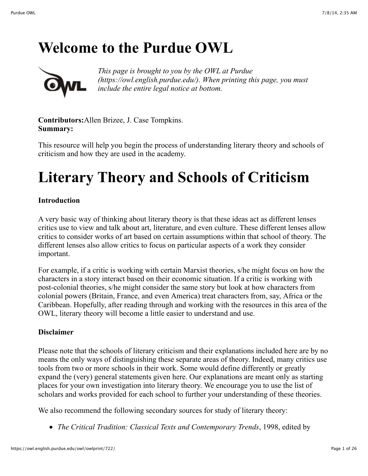## **Welcome to the Purdue OWL**



*This page is brought to you by the OWL at Purdue (https://owl.english.purdue.edu/). When printing this page, you must include the entire legal notice at bottom.*

**Contributors:**Allen Brizee, J. Case Tompkins. **Summary:**

This resource will help you begin the process of understanding literary theory and schools of criticism and how they are used in the academy.

# **Literary Theory and Schools of Criticism**

#### **Introduction**

A very basic way of thinking about literary theory is that these ideas act as different lenses critics use to view and talk about art, literature, and even culture. These different lenses allow critics to consider works of art based on certain assumptions within that school of theory. The different lenses also allow critics to focus on particular aspects of a work they consider important.

For example, if a critic is working with certain Marxist theories, s/he might focus on how the characters in a story interact based on their economic situation. If a critic is working with post-colonial theories, s/he might consider the same story but look at how characters from colonial powers (Britain, France, and even America) treat characters from, say, Africa or the Caribbean. Hopefully, after reading through and working with the resources in this area of the OWL, literary theory will become a little easier to understand and use.

#### **Disclaimer**

Please note that the schools of literary criticism and their explanations included here are by no means the only ways of distinguishing these separate areas of theory. Indeed, many critics use tools from two or more schools in their work. Some would define differently or greatly expand the (very) general statements given here. Our explanations are meant only as starting places for your own investigation into literary theory. We encourage you to use the list of scholars and works provided for each school to further your understanding of these theories.

We also recommend the following secondary sources for study of literary theory:

*The Critical Tradition: Classical Texts and Contemporary Trends*, 1998, edited by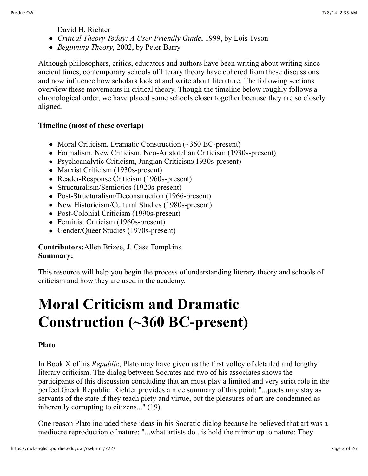David H. Richter

- *Critical Theory Today: A User-Friendly Guide*, 1999, by Lois Tyson
- *Beginning Theory*, 2002, by Peter Barry

Although philosophers, critics, educators and authors have been writing about writing since ancient times, contemporary schools of literary theory have cohered from these discussions and now influence how scholars look at and write about literature. The following sections overview these movements in critical theory. Though the timeline below roughly follows a chronological order, we have placed some schools closer together because they are so closely aligned.

### **Timeline (most of these overlap)**

- Moral Criticism, Dramatic Construction (~360 BC-present)
- Formalism, New Criticism, Neo-Aristotelian Criticism (1930s-present)
- Psychoanalytic Criticism, Jungian Criticism(1930s-present)
- Marxist Criticism (1930s-present)
- Reader-Response Criticism (1960s-present)
- Structuralism/Semiotics (1920s-present)
- Post-Structuralism/Deconstruction (1966-present)
- New Historicism/Cultural Studies (1980s-present)
- Post-Colonial Criticism (1990s-present)
- Feminist Criticism (1960s-present)
- Gender/Queer Studies (1970s-present)

#### **Contributors:**Allen Brizee, J. Case Tompkins. **Summary:**

This resource will help you begin the process of understanding literary theory and schools of criticism and how they are used in the academy.

# **Moral Criticism and Dramatic Construction (~360 BC-present)**

#### **Plato**

In Book X of his *Republic*, Plato may have given us the first volley of detailed and lengthy literary criticism. The dialog between Socrates and two of his associates shows the participants of this discussion concluding that art must play a limited and very strict role in the perfect Greek Republic. Richter provides a nice summary of this point: "...poets may stay as servants of the state if they teach piety and virtue, but the pleasures of art are condemned as inherently corrupting to citizens..." (19).

One reason Plato included these ideas in his Socratic dialog because he believed that art was a mediocre reproduction of nature: "...what artists do...is hold the mirror up to nature: They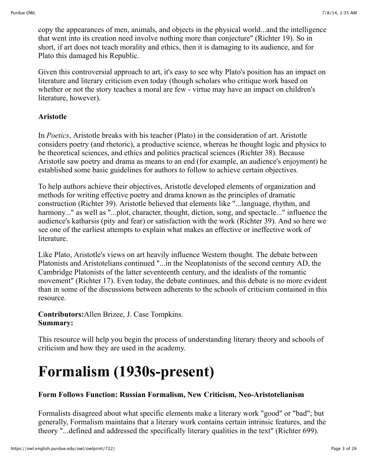copy the appearances of men, animals, and objects in the physical world...and the intelligence that went into its creation need involve nothing more than conjecture" (Richter 19). So in short, if art does not teach morality and ethics, then it is damaging to its audience, and for Plato this damaged his Republic.

Given this controversial approach to art, it's easy to see why Plato's position has an impact on literature and literary criticism even today (though scholars who critique work based on whether or not the story teaches a moral are few - virtue may have an impact on children's literature, however).

#### **Aristotle**

In *Poetics*, Aristotle breaks with his teacher (Plato) in the consideration of art. Aristotle considers poetry (and rhetoric), a productive science, whereas he thought logic and physics to be theoretical sciences, and ethics and politics practical sciences (Richter 38). Because Aristotle saw poetry and drama as means to an end (for example, an audience's enjoyment) he established some basic guidelines for authors to follow to achieve certain objectives.

To help authors achieve their objectives, Aristotle developed elements of organization and methods for writing effective poetry and drama known as the principles of dramatic construction (Richter 39). Aristotle believed that elements like "...language, rhythm, and harmony..." as well as "...plot, character, thought, diction, song, and spectacle..." influence the audience's katharsis (pity and fear) or satisfaction with the work (Richter 39). And so here we see one of the earliest attempts to explain what makes an effective or ineffective work of literature.

Like Plato, Aristotle's views on art heavily influence Western thought. The debate between Platonists and Aristotelians continued "...in the Neoplatonists of the second century AD, the Cambridge Platonists of the latter seventeenth century, and the idealists of the romantic movement" (Richter 17). Even today, the debate continues, and this debate is no more evident than in some of the discussions between adherents to the schools of criticism contained in this resource.

**Contributors:**Allen Brizee, J. Case Tompkins. **Summary:**

This resource will help you begin the process of understanding literary theory and schools of criticism and how they are used in the academy.

# **Formalism (1930s-present)**

#### **Form Follows Function: Russian Formalism, New Criticism, Neo-Aristotelianism**

Formalists disagreed about what specific elements make a literary work "good" or "bad"; but generally, Formalism maintains that a literary work contains certain intrinsic features, and the theory "...defined and addressed the specifically literary qualities in the text" (Richter 699).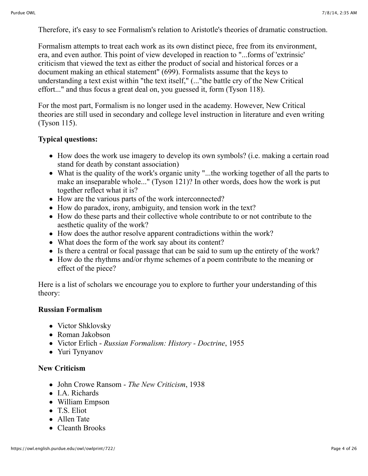Therefore, it's easy to see Formalism's relation to Aristotle's theories of dramatic construction.

Formalism attempts to treat each work as its own distinct piece, free from its environment, era, and even author. This point of view developed in reaction to "...forms of 'extrinsic' criticism that viewed the text as either the product of social and historical forces or a document making an ethical statement" (699). Formalists assume that the keys to understanding a text exist within "the text itself," (..."the battle cry of the New Critical effort..." and thus focus a great deal on, you guessed it, form (Tyson 118).

For the most part, Formalism is no longer used in the academy. However, New Critical theories are still used in secondary and college level instruction in literature and even writing (Tyson 115).

#### **Typical questions:**

- How does the work use imagery to develop its own symbols? (i.e. making a certain road stand for death by constant association)
- What is the quality of the work's organic unity "...the working together of all the parts to make an inseparable whole..." (Tyson 121)? In other words, does how the work is put together reflect what it is?
- How are the various parts of the work interconnected?
- How do paradox, irony, ambiguity, and tension work in the text?
- How do these parts and their collective whole contribute to or not contribute to the aesthetic quality of the work?
- How does the author resolve apparent contradictions within the work?
- What does the form of the work say about its content?
- Is there a central or focal passage that can be said to sum up the entirety of the work?
- How do the rhythms and/or rhyme schemes of a poem contribute to the meaning or effect of the piece?

Here is a list of scholars we encourage you to explore to further your understanding of this theory:

#### **Russian Formalism**

- Victor Shklovsky
- Roman Jakobson
- Victor Erlich *Russian Formalism: History Doctrine*, 1955
- Yuri Tynyanov

#### **New Criticism**

- John Crowe Ransom *The New Criticism*, 1938
- I.A. Richards
- William Empson
- T.S. Eliot
- Allen Tate
- Cleanth Brooks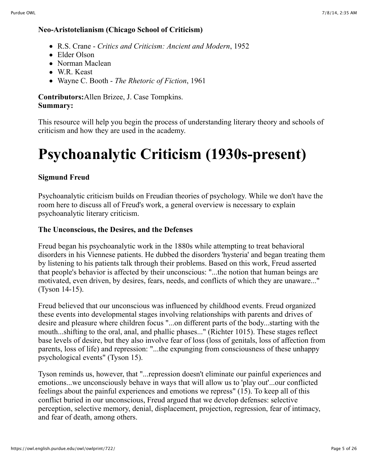#### **Neo-Aristotelianism (Chicago School of Criticism)**

- R.S. Crane *Critics and Criticism: Ancient and Modern*, 1952
- Elder Olson
- Norman Maclean
- W.R. Keast
- Wayne C. Booth *The Rhetoric of Fiction*, 1961

#### **Contributors:**Allen Brizee, J. Case Tompkins. **Summary:**

This resource will help you begin the process of understanding literary theory and schools of criticism and how they are used in the academy.

# **Psychoanalytic Criticism (1930s-present)**

### **Sigmund Freud**

Psychoanalytic criticism builds on Freudian theories of psychology. While we don't have the room here to discuss all of Freud's work, a general overview is necessary to explain psychoanalytic literary criticism.

### **The Unconscious, the Desires, and the Defenses**

Freud began his psychoanalytic work in the 1880s while attempting to treat behavioral disorders in his Viennese patients. He dubbed the disorders 'hysteria' and began treating them by listening to his patients talk through their problems. Based on this work, Freud asserted that people's behavior is affected by their unconscious: "...the notion that human beings are motivated, even driven, by desires, fears, needs, and conflicts of which they are unaware..." (Tyson 14-15).

Freud believed that our unconscious was influenced by childhood events. Freud organized these events into developmental stages involving relationships with parents and drives of desire and pleasure where children focus "...on different parts of the body...starting with the mouth...shifting to the oral, anal, and phallic phases..." (Richter 1015). These stages reflect base levels of desire, but they also involve fear of loss (loss of genitals, loss of affection from parents, loss of life) and repression: "...the expunging from consciousness of these unhappy psychological events" (Tyson 15).

Tyson reminds us, however, that "...repression doesn't eliminate our painful experiences and emotions...we unconsciously behave in ways that will allow us to 'play out'...our conflicted feelings about the painful experiences and emotions we repress" (15). To keep all of this conflict buried in our unconscious, Freud argued that we develop defenses: selective perception, selective memory, denial, displacement, projection, regression, fear of intimacy, and fear of death, among others.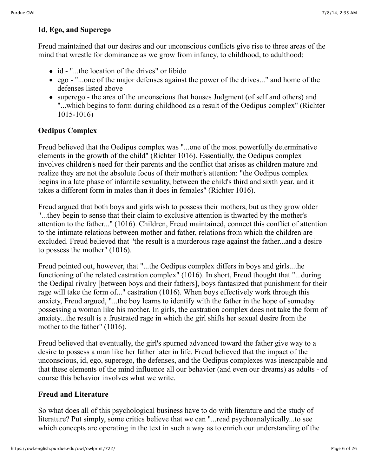#### **Id, Ego, and Superego**

Freud maintained that our desires and our unconscious conflicts give rise to three areas of the mind that wrestle for dominance as we grow from infancy, to childhood, to adulthood:

- id "...the location of the drives" or libido
- ego "...one of the major defenses against the power of the drives..." and home of the defenses listed above
- superego the area of the unconscious that houses Judgment (of self and others) and "...which begins to form during childhood as a result of the Oedipus complex" (Richter 1015-1016)

#### **Oedipus Complex**

Freud believed that the Oedipus complex was "...one of the most powerfully determinative elements in the growth of the child" (Richter 1016). Essentially, the Oedipus complex involves children's need for their parents and the conflict that arises as children mature and realize they are not the absolute focus of their mother's attention: "the Oedipus complex begins in a late phase of infantile sexuality, between the child's third and sixth year, and it takes a different form in males than it does in females" (Richter 1016).

Freud argued that both boys and girls wish to possess their mothers, but as they grow older "...they begin to sense that their claim to exclusive attention is thwarted by the mother's attention to the father..." (1016). Children, Freud maintained, connect this conflict of attention to the intimate relations between mother and father, relations from which the children are excluded. Freud believed that "the result is a murderous rage against the father...and a desire to possess the mother" (1016).

Freud pointed out, however, that "...the Oedipus complex differs in boys and girls...the functioning of the related castration complex" (1016). In short, Freud thought that "...during the Oedipal rivalry [between boys and their fathers], boys fantasized that punishment for their rage will take the form of..." castration (1016). When boys effectively work through this anxiety, Freud argued, "...the boy learns to identify with the father in the hope of someday possessing a woman like his mother. In girls, the castration complex does not take the form of anxiety...the result is a frustrated rage in which the girl shifts her sexual desire from the mother to the father" (1016).

Freud believed that eventually, the girl's spurned advanced toward the father give way to a desire to possess a man like her father later in life. Freud believed that the impact of the unconscious, id, ego, superego, the defenses, and the Oedipus complexes was inescapable and that these elements of the mind influence all our behavior (and even our dreams) as adults - of course this behavior involves what we write.

#### **Freud and Literature**

So what does all of this psychological business have to do with literature and the study of literature? Put simply, some critics believe that we can "...read psychoanalytically...to see which concepts are operating in the text in such a way as to enrich our understanding of the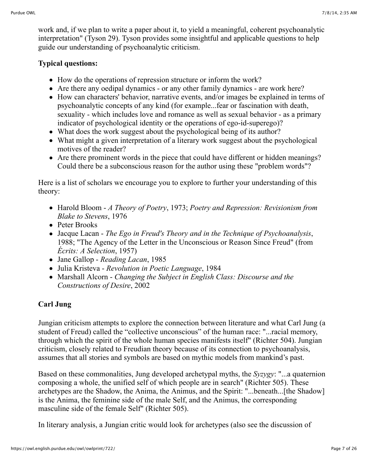work and, if we plan to write a paper about it, to yield a meaningful, coherent psychoanalytic interpretation" (Tyson 29). Tyson provides some insightful and applicable questions to help guide our understanding of psychoanalytic criticism.

#### **Typical questions:**

- How do the operations of repression structure or inform the work?
- Are there any oedipal dynamics or any other family dynamics are work here?
- How can characters' behavior, narrative events, and/or images be explained in terms of psychoanalytic concepts of any kind (for example...fear or fascination with death, sexuality - which includes love and romance as well as sexual behavior - as a primary indicator of psychological identity or the operations of ego-id-superego)?
- What does the work suggest about the psychological being of its author?
- What might a given interpretation of a literary work suggest about the psychological motives of the reader?
- Are there prominent words in the piece that could have different or hidden meanings? Could there be a subconscious reason for the author using these "problem words"?

Here is a list of scholars we encourage you to explore to further your understanding of this theory:

- Harold Bloom *A Theory of Poetry*, 1973; *Poetry and Repression: Revisionism from Blake to Stevens*, 1976
- Peter Brooks
- Jacque Lacan *The Ego in Freud's Theory and in the Technique of Psychoanalysis*, 1988; "The Agency of the Letter in the Unconscious or Reason Since Freud" (from *Écrits: A Selection*, 1957)
- Jane Gallop *Reading Lacan*, 1985
- Julia Kristeva *Revolution in Poetic Language*, 1984
- Marshall Alcorn *Changing the Subject in English Class: Discourse and the Constructions of Desire*, 2002

## **Carl Jung**

Jungian criticism attempts to explore the connection between literature and what Carl Jung (a student of Freud) called the "collective unconscious" of the human race: "...racial memory, through which the spirit of the whole human species manifests itself" (Richter 504). Jungian criticism, closely related to Freudian theory because of its connection to psychoanalysis, assumes that all stories and symbols are based on mythic models from mankind's past.

Based on these commonalities, Jung developed archetypal myths, the *Syzygy*: "...a quaternion composing a whole, the unified self of which people are in search" (Richter 505). These archetypes are the Shadow, the Anima, the Animus, and the Spirit: "...beneath...[the Shadow] is the Anima, the feminine side of the male Self, and the Animus, the corresponding masculine side of the female Self" (Richter 505).

In literary analysis, a Jungian critic would look for archetypes (also see the discussion of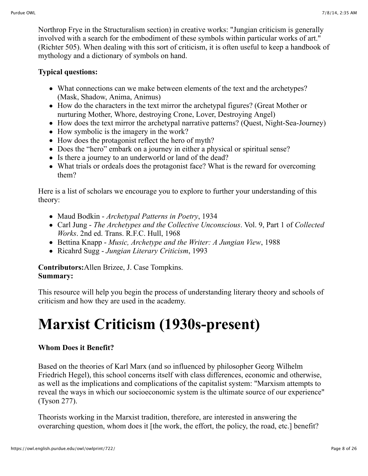Northrop Frye in the Structuralism section) in creative works: "Jungian criticism is generally involved with a search for the embodiment of these symbols within particular works of art." (Richter 505). When dealing with this sort of criticism, it is often useful to keep a handbook of mythology and a dictionary of symbols on hand.

#### **Typical questions:**

- What connections can we make between elements of the text and the archetypes? (Mask, Shadow, Anima, Animus)
- How do the characters in the text mirror the archetypal figures? (Great Mother or nurturing Mother, Whore, destroying Crone, Lover, Destroying Angel)
- How does the text mirror the archetypal narrative patterns? (Ouest, Night-Sea-Journey)
- How symbolic is the imagery in the work?
- How does the protagonist reflect the hero of myth?
- Does the "hero" embark on a journey in either a physical or spiritual sense?
- Is there a journey to an underworld or land of the dead?
- What trials or ordeals does the protagonist face? What is the reward for overcoming them?

Here is a list of scholars we encourage you to explore to further your understanding of this theory:

- Maud Bodkin *Archetypal Patterns in Poetry*, 1934
- Carl Jung *The Archetypes and the Collective Unconscious*. Vol. 9, Part 1 of *Collected Works*. 2nd ed. Trans. R.F.C. Hull, 1968
- Bettina Knapp *Music, Archetype and the Writer: A Jungian View*, 1988
- Ricahrd Sugg *Jungian Literary Criticism*, 1993

**Contributors:**Allen Brizee, J. Case Tompkins. **Summary:**

This resource will help you begin the process of understanding literary theory and schools of criticism and how they are used in the academy.

# **Marxist Criticism (1930s-present)**

### **Whom Does it Benefit?**

Based on the theories of Karl Marx (and so influenced by philosopher Georg Wilhelm Friedrich Hegel), this school concerns itself with class differences, economic and otherwise, as well as the implications and complications of the capitalist system: "Marxism attempts to reveal the ways in which our socioeconomic system is the ultimate source of our experience" (Tyson 277).

Theorists working in the Marxist tradition, therefore, are interested in answering the overarching question, whom does it [the work, the effort, the policy, the road, etc.] benefit?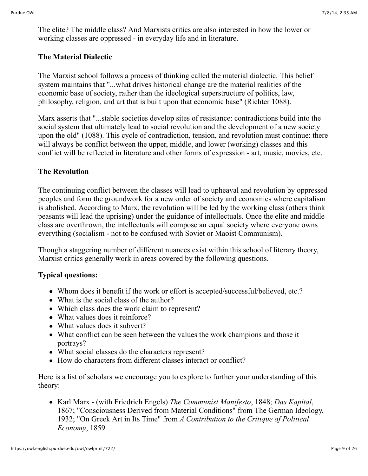The elite? The middle class? And Marxists critics are also interested in how the lower or working classes are oppressed - in everyday life and in literature.

#### **The Material Dialectic**

The Marxist school follows a process of thinking called the material dialectic. This belief system maintains that "...what drives historical change are the material realities of the economic base of society, rather than the ideological superstructure of politics, law, philosophy, religion, and art that is built upon that economic base" (Richter 1088).

Marx asserts that "...stable societies develop sites of resistance: contradictions build into the social system that ultimately lead to social revolution and the development of a new society upon the old" (1088). This cycle of contradiction, tension, and revolution must continue: there will always be conflict between the upper, middle, and lower (working) classes and this conflict will be reflected in literature and other forms of expression - art, music, movies, etc.

### **The Revolution**

The continuing conflict between the classes will lead to upheaval and revolution by oppressed peoples and form the groundwork for a new order of society and economics where capitalism is abolished. According to Marx, the revolution will be led by the working class (others think peasants will lead the uprising) under the guidance of intellectuals. Once the elite and middle class are overthrown, the intellectuals will compose an equal society where everyone owns everything (socialism - not to be confused with Soviet or Maoist Communism).

Though a staggering number of different nuances exist within this school of literary theory, Marxist critics generally work in areas covered by the following questions.

#### **Typical questions:**

- Whom does it benefit if the work or effort is accepted/successful/believed, etc.?
- What is the social class of the author?
- Which class does the work claim to represent?
- What values does it reinforce?
- What values does it subvert?
- What conflict can be seen between the values the work champions and those it portrays?
- What social classes do the characters represent?
- How do characters from different classes interact or conflict?

Here is a list of scholars we encourage you to explore to further your understanding of this theory:

Karl Marx - (with Friedrich Engels) *The Communist Manifesto*, 1848; *Das Kapital*, 1867; "Consciousness Derived from Material Conditions" from The German Ideology, 1932; "On Greek Art in Its Time" from *A Contribution to the Critique of Political Economy*, 1859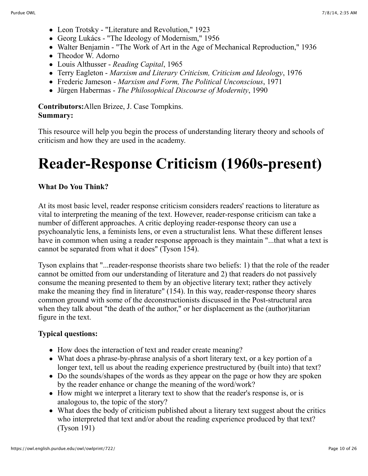- Leon Trotsky "Literature and Revolution," 1923
- Georg Lukács "The Ideology of Modernism," 1956
- Walter Benjamin "The Work of Art in the Age of Mechanical Reproduction," 1936
- Theodor W. Adorno
- Louis Althusser *Reading Capital*, 1965
- Terry Eagleton *Marxism and Literary Criticism, Criticism and Ideology*, 1976
- Frederic Jameson *Marxism and Form, The Political Unconscious*, 1971
- Jürgen Habermas *The Philosophical Discourse of Modernity*, 1990

#### **Contributors:**Allen Brizee, J. Case Tompkins. **Summary:**

This resource will help you begin the process of understanding literary theory and schools of criticism and how they are used in the academy.

# **Reader-Response Criticism (1960s-present)**

#### **What Do You Think?**

At its most basic level, reader response criticism considers readers' reactions to literature as vital to interpreting the meaning of the text. However, reader-response criticism can take a number of different approaches. A critic deploying reader-response theory can use a psychoanalytic lens, a feminists lens, or even a structuralist lens. What these different lenses have in common when using a reader response approach is they maintain "...that what a text is cannot be separated from what it does" (Tyson 154).

Tyson explains that "...reader-response theorists share two beliefs: 1) that the role of the reader cannot be omitted from our understanding of literature and 2) that readers do not passively consume the meaning presented to them by an objective literary text; rather they actively make the meaning they find in literature" (154). In this way, reader-response theory shares common ground with some of the deconstructionists discussed in the Post-structural area when they talk about "the death of the author," or her displacement as the (author)itarian figure in the text.

#### **Typical questions:**

- How does the interaction of text and reader create meaning?
- What does a phrase-by-phrase analysis of a short literary text, or a key portion of a longer text, tell us about the reading experience prestructured by (built into) that text?
- Do the sounds/shapes of the words as they appear on the page or how they are spoken by the reader enhance or change the meaning of the word/work?
- How might we interpret a literary text to show that the reader's response is, or is analogous to, the topic of the story?
- What does the body of criticism published about a literary text suggest about the critics who interpreted that text and/or about the reading experience produced by that text? (Tyson 191)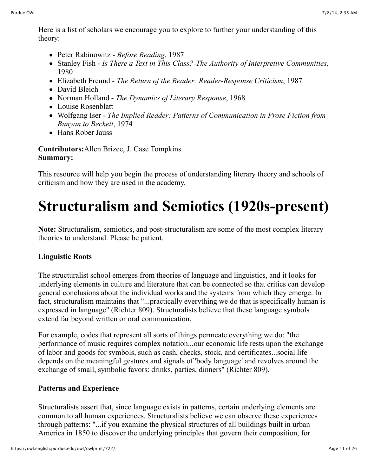Here is a list of scholars we encourage you to explore to further your understanding of this theory:

- Peter Rabinowitz *Before Reading*, 1987
- Stanley Fish *Is There a Text in This Class?-The Authority of Interpretive Communities*, 1980
- Elizabeth Freund *The Return of the Reader: Reader-Response Criticism*, 1987
- David Bleich
- Norman Holland *The Dynamics of Literary Response*, 1968
- Louise Rosenblatt
- Wolfgang Iser *The Implied Reader: Patterns of Communication in Prose Fiction from Bunyan to Beckett*, 1974
- Hans Rober Jauss

**Contributors:**Allen Brizee, J. Case Tompkins. **Summary:**

This resource will help you begin the process of understanding literary theory and schools of criticism and how they are used in the academy.

# **Structuralism and Semiotics (1920s-present)**

**Note:** Structuralism, semiotics, and post-structuralism are some of the most complex literary theories to understand. Please be patient.

## **Linguistic Roots**

The structuralist school emerges from theories of language and linguistics, and it looks for underlying elements in culture and literature that can be connected so that critics can develop general conclusions about the individual works and the systems from which they emerge. In fact, structuralism maintains that "...practically everything we do that is specifically human is expressed in language" (Richter 809). Structuralists believe that these language symbols extend far beyond written or oral communication.

For example, codes that represent all sorts of things permeate everything we do: "the performance of music requires complex notation...our economic life rests upon the exchange of labor and goods for symbols, such as cash, checks, stock, and certificates...social life depends on the meaningful gestures and signals of 'body language' and revolves around the exchange of small, symbolic favors: drinks, parties, dinners" (Richter 809).

## **Patterns and Experience**

Structuralists assert that, since language exists in patterns, certain underlying elements are common to all human experiences. Structuralists believe we can observe these experiences through patterns: "...if you examine the physical structures of all buildings built in urban America in 1850 to discover the underlying principles that govern their composition, for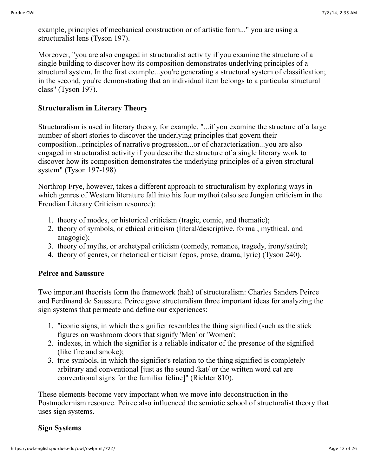example, principles of mechanical construction or of artistic form..." you are using a structuralist lens (Tyson 197).

Moreover, "you are also engaged in structuralist activity if you examine the structure of a single building to discover how its composition demonstrates underlying principles of a structural system. In the first example...you're generating a structural system of classification; in the second, you're demonstrating that an individual item belongs to a particular structural class" (Tyson 197).

#### **Structuralism in Literary Theory**

Structuralism is used in literary theory, for example, "...if you examine the structure of a large number of short stories to discover the underlying principles that govern their composition...principles of narrative progression...or of characterization...you are also engaged in structuralist activity if you describe the structure of a single literary work to discover how its composition demonstrates the underlying principles of a given structural system" (Tyson 197-198).

Northrop Frye, however, takes a different approach to structuralism by exploring ways in which genres of Western literature fall into his four mythoi (also see Jungian criticism in the Freudian Literary Criticism resource):

- 1. theory of modes, or historical criticism (tragic, comic, and thematic);
- 2. theory of symbols, or ethical criticism (literal/descriptive, formal, mythical, and anagogic);
- 3. theory of myths, or archetypal criticism (comedy, romance, tragedy, irony/satire);
- 4. theory of genres, or rhetorical criticism (epos, prose, drama, lyric) (Tyson 240).

#### **Peirce and Saussure**

Two important theorists form the framework (hah) of structuralism: Charles Sanders Peirce and Ferdinand de Saussure. Peirce gave structuralism three important ideas for analyzing the sign systems that permeate and define our experiences:

- 1. "iconic signs, in which the signifier resembles the thing signified (such as the stick figures on washroom doors that signify 'Men' or 'Women';
- 2. indexes, in which the signifier is a reliable indicator of the presence of the signified (like fire and smoke);
- 3. true symbols, in which the signifier's relation to the thing signified is completely arbitrary and conventional [just as the sound /kat/ or the written word cat are conventional signs for the familiar feline]" (Richter 810).

These elements become very important when we move into deconstruction in the Postmodernism resource. Peirce also influenced the semiotic school of structuralist theory that uses sign systems.

#### **Sign Systems**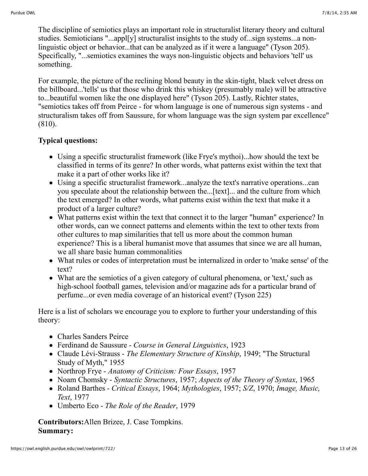The discipline of semiotics plays an important role in structuralist literary theory and cultural studies. Semioticians "...appl[y] structuralist insights to the study of...sign systems...a nonlinguistic object or behavior...that can be analyzed as if it were a language" (Tyson 205). Specifically, "...semiotics examines the ways non-linguistic objects and behaviors 'tell' us something.

For example, the picture of the reclining blond beauty in the skin-tight, black velvet dress on the billboard...'tells' us that those who drink this whiskey (presumably male) will be attractive to...beautiful women like the one displayed here" (Tyson 205). Lastly, Richter states, "semiotics takes off from Peirce - for whom language is one of numerous sign systems - and structuralism takes off from Saussure, for whom language was the sign system par excellence" (810).

#### **Typical questions:**

- Using a specific structuralist framework (like Frye's mythoi)...how should the text be classified in terms of its genre? In other words, what patterns exist within the text that make it a part of other works like it?
- Using a specific structuralist framework...analyze the text's narrative operations...can you speculate about the relationship between the...[text]... and the culture from which the text emerged? In other words, what patterns exist within the text that make it a product of a larger culture?
- What patterns exist within the text that connect it to the larger "human" experience? In other words, can we connect patterns and elements within the text to other texts from other cultures to map similarities that tell us more about the common human experience? This is a liberal humanist move that assumes that since we are all human, we all share basic human commonalities
- What rules or codes of interpretation must be internalized in order to 'make sense' of the text?
- What are the semiotics of a given category of cultural phenomena, or 'text,' such as high-school football games, television and/or magazine ads for a particular brand of perfume...or even media coverage of an historical event? (Tyson 225)

Here is a list of scholars we encourage you to explore to further your understanding of this theory:

- Charles Sanders Peirce
- Ferdinand de Saussure *Course in General Linguistics*, 1923
- Claude Lévi-Strauss *The Elementary Structure of Kinship*, 1949; "The Structural Study of Myth," 1955
- Northrop Frye *Anatomy of Criticism: Four Essays*, 1957
- Noam Chomsky *Syntactic Structures*, 1957; *Aspects of the Theory of Syntax*, 1965
- Roland Barthes *Critical Essays*, 1964; *Mythologies*, 1957; *S/Z*, 1970; *Image, Music, Text*, 1977
- Umberto Eco *The Role of the Reader*, 1979

#### **Contributors:**Allen Brizee, J. Case Tompkins. **Summary:**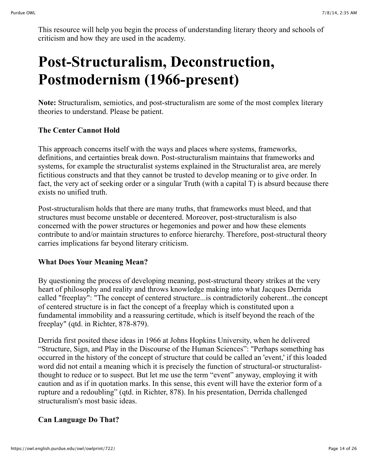This resource will help you begin the process of understanding literary theory and schools of criticism and how they are used in the academy.

# **Post-Structuralism, Deconstruction, Postmodernism (1966-present)**

**Note:** Structuralism, semiotics, and post-structuralism are some of the most complex literary theories to understand. Please be patient.

### **The Center Cannot Hold**

This approach concerns itself with the ways and places where systems, frameworks, definitions, and certainties break down. Post-structuralism maintains that frameworks and systems, for example the structuralist systems explained in the Structuralist area, are merely fictitious constructs and that they cannot be trusted to develop meaning or to give order. In fact, the very act of seeking order or a singular Truth (with a capital T) is absurd because there exists no unified truth.

Post-structuralism holds that there are many truths, that frameworks must bleed, and that structures must become unstable or decentered. Moreover, post-structuralism is also concerned with the power structures or hegemonies and power and how these elements contribute to and/or maintain structures to enforce hierarchy. Therefore, post-structural theory carries implications far beyond literary criticism.

#### **What Does Your Meaning Mean?**

By questioning the process of developing meaning, post-structural theory strikes at the very heart of philosophy and reality and throws knowledge making into what Jacques Derrida called "freeplay": "The concept of centered structure...is contradictorily coherent...the concept of centered structure is in fact the concept of a freeplay which is constituted upon a fundamental immobility and a reassuring certitude, which is itself beyond the reach of the freeplay" (qtd. in Richter, 878-879).

Derrida first posited these ideas in 1966 at Johns Hopkins University, when he delivered "Structure, Sign, and Play in the Discourse of the Human Sciences": "Perhaps something has occurred in the history of the concept of structure that could be called an 'event,' if this loaded word did not entail a meaning which it is precisely the function of structural-or structuralistthought to reduce or to suspect. But let me use the term "event" anyway, employing it with caution and as if in quotation marks. In this sense, this event will have the exterior form of a rupture and a redoubling" (qtd. in Richter, 878). In his presentation, Derrida challenged structuralism's most basic ideas.

### **Can Language Do That?**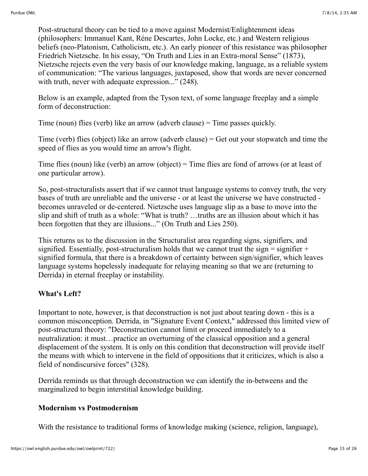Post-structural theory can be tied to a move against Modernist/Enlightenment ideas (philosophers: Immanuel Kant, Réne Descartes, John Locke, etc.) and Western religious beliefs (neo-Platonism, Catholicism, etc.). An early pioneer of this resistance was philosopher Friedrich Nietzsche. In his essay, "On Truth and Lies in an Extra-moral Sense" (1873), Nietzsche rejects even the very basis of our knowledge making, language, as a reliable system of communication: "The various languages, juxtaposed, show that words are never concerned with truth, never with adequate expression..." (248).

Below is an example, adapted from the Tyson text, of some language freeplay and a simple form of deconstruction:

Time (noun) flies (verb) like an arrow (adverb clause) = Time passes quickly.

Time (verb) flies (object) like an arrow (adverb clause) = Get out your stopwatch and time the speed of flies as you would time an arrow's flight.

Time flies (noun) like (verb) an arrow (object) = Time flies are fond of arrows (or at least of one particular arrow).

So, post-structuralists assert that if we cannot trust language systems to convey truth, the very bases of truth are unreliable and the universe - or at least the universe we have constructed becomes unraveled or de-centered. Nietzsche uses language slip as a base to move into the slip and shift of truth as a whole: "What is truth? …truths are an illusion about which it has been forgotten that they are illusions..." (On Truth and Lies 250).

This returns us to the discussion in the Structuralist area regarding signs, signifiers, and signified. Essentially, post-structuralism holds that we cannot trust the sign  $=$  signifier  $+$ signified formula, that there is a breakdown of certainty between sign/signifier, which leaves language systems hopelessly inadequate for relaying meaning so that we are (returning to Derrida) in eternal freeplay or instability.

#### **What's Left?**

Important to note, however, is that deconstruction is not just about tearing down - this is a common misconception. Derrida, in "Signature Event Context," addressed this limited view of post-structural theory: "Deconstruction cannot limit or proceed immediately to a neutralization: it must…practice an overturning of the classical opposition and a general displacement of the system. It is only on this condition that deconstruction will provide itself the means with which to intervene in the field of oppositions that it criticizes, which is also a field of nondiscursive forces" (328).

Derrida reminds us that through deconstruction we can identify the in-betweens and the marginalized to begin interstitial knowledge building.

#### **Modernism vs Postmodernism**

With the resistance to traditional forms of knowledge making (science, religion, language),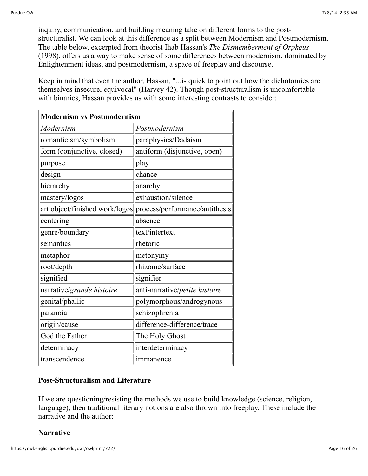inquiry, communication, and building meaning take on different forms to the poststructuralist. We can look at this difference as a split between Modernism and Postmodernism. The table below, excerpted from theorist Ihab Hassan's *The Dismemberment of Orpheus* (1998), offers us a way to make sense of some differences between modernism, dominated by Enlightenment ideas, and postmodernism, a space of freeplay and discourse.

Keep in mind that even the author, Hassan, "...is quick to point out how the dichotomies are themselves insecure, equivocal" (Harvey 42). Though post-structuralism is uncomfortable with binaries, Hassan provides us with some interesting contrasts to consider:

| <b>Modernism vs Postmodernism</b> |                                                                |
|-----------------------------------|----------------------------------------------------------------|
| Modernism                         | Postmodernism                                                  |
| romanticism/symbolism             | paraphysics/Dadaism                                            |
| form (conjunctive, closed)        | antiform (disjunctive, open)                                   |
| purpose                           | play                                                           |
| design                            | chance                                                         |
| hierarchy                         | anarchy                                                        |
| mastery/logos                     | exhaustion/silence                                             |
|                                   | art object/finished work/logos  process/performance/antithesis |
| centering                         | absence                                                        |
| genre/boundary                    | text/intertext                                                 |
| semantics                         | rhetoric                                                       |
| metaphor                          | metonymy                                                       |
| root/depth                        | rhizome/surface                                                |
| signified                         | signifier                                                      |
| narrative/grande histoire         | anti-narrative/petite histoire                                 |
| genital/phallic                   | polymorphous/androgynous                                       |
| paranoia                          | schizophrenia                                                  |
| origin/cause                      | difference-difference/trace                                    |
| God the Father                    | The Holy Ghost                                                 |
| determinacy                       | interdeterminacy                                               |
| transcendence                     | immanence                                                      |

#### **Post-Structuralism and Literature**

If we are questioning/resisting the methods we use to build knowledge (science, religion, language), then traditional literary notions are also thrown into freeplay. These include the narrative and the author:

### **Narrative**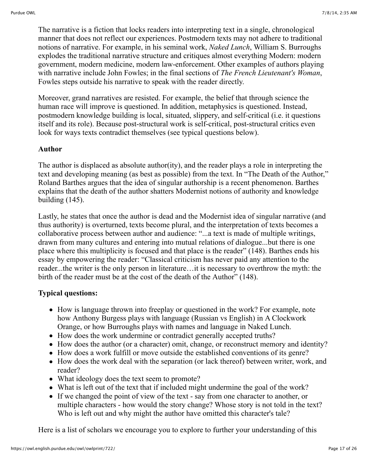The narrative is a fiction that locks readers into interpreting text in a single, chronological manner that does not reflect our experiences. Postmodern texts may not adhere to traditional notions of narrative. For example, in his seminal work, *Naked Lunch*, William S. Burroughs explodes the traditional narrative structure and critiques almost everything Modern: modern government, modern medicine, modern law-enforcement. Other examples of authors playing with narrative include John Fowles; in the final sections of *The French Lieutenant's Woman*, Fowles steps outside his narrative to speak with the reader directly.

Moreover, grand narratives are resisted. For example, the belief that through science the human race will improve is questioned. In addition, metaphysics is questioned. Instead, postmodern knowledge building is local, situated, slippery, and self-critical (i.e. it questions itself and its role). Because post-structural work is self-critical, post-structural critics even look for ways texts contradict themselves (see typical questions below).

#### **Author**

The author is displaced as absolute author(ity), and the reader plays a role in interpreting the text and developing meaning (as best as possible) from the text. In "The Death of the Author," Roland Barthes argues that the idea of singular authorship is a recent phenomenon. Barthes explains that the death of the author shatters Modernist notions of authority and knowledge building (145).

Lastly, he states that once the author is dead and the Modernist idea of singular narrative (and thus authority) is overturned, texts become plural, and the interpretation of texts becomes a collaborative process between author and audience: "...a text is made of multiple writings, drawn from many cultures and entering into mutual relations of dialogue...but there is one place where this multiplicity is focused and that place is the reader" (148). Barthes ends his essay by empowering the reader: "Classical criticism has never paid any attention to the reader...the writer is the only person in literature…it is necessary to overthrow the myth: the birth of the reader must be at the cost of the death of the Author" (148).

#### **Typical questions:**

- How is language thrown into freeplay or questioned in the work? For example, note how Anthony Burgess plays with language (Russian vs English) in A Clockwork Orange, or how Burroughs plays with names and language in Naked Lunch.
- How does the work undermine or contradict generally accepted truths?
- How does the author (or a character) omit, change, or reconstruct memory and identity?
- How does a work fulfill or move outside the established conventions of its genre?
- How does the work deal with the separation (or lack thereof) between writer, work, and reader?
- What ideology does the text seem to promote?
- What is left out of the text that if included might undermine the goal of the work?
- If we changed the point of view of the text say from one character to another, or multiple characters - how would the story change? Whose story is not told in the text? Who is left out and why might the author have omitted this character's tale?

Here is a list of scholars we encourage you to explore to further your understanding of this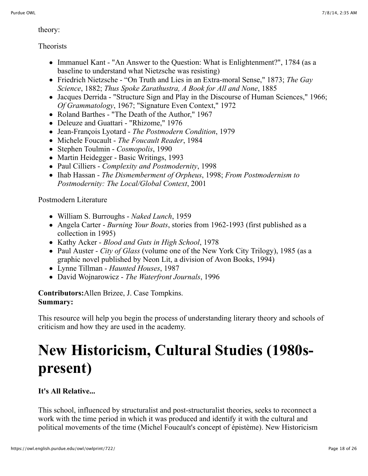theory:

Theorists

- Immanuel Kant "An Answer to the Question: What is Enlightenment?", 1784 (as a baseline to understand what Nietzsche was resisting)
- Friedrich Nietzsche "On Truth and Lies in an Extra-moral Sense," 1873; *The Gay Science*, 1882; *Thus Spoke Zarathustra, A Book for All and None*, 1885
- Jacques Derrida "Structure Sign and Play in the Discourse of Human Sciences," 1966; *Of Grammatology*, 1967; "Signature Even Context," 1972
- Roland Barthes "The Death of the Author," 1967
- Deleuze and Guattari "Rhizome," 1976
- Jean-François Lyotard *The Postmodern Condition*, 1979
- Michele Foucault *The Foucault Reader*, 1984
- Stephen Toulmin *Cosmopolis*, 1990
- Martin Heidegger Basic Writings, 1993
- Paul Cilliers *Complexity and Postmodernity*, 1998
- Ihab Hassan *The Dismemberment of Orpheus*, 1998; *From Postmodernism to Postmodernity: The Local/Global Context*, 2001

Postmodern Literature

- William S. Burroughs *Naked Lunch*, 1959
- Angela Carter *Burning Your Boats*, stories from 1962-1993 (first published as a collection in 1995)
- Kathy Acker *Blood and Guts in High School*, 1978
- Paul Auster *City of Glass* (volume one of the New York City Trilogy), 1985 (as a graphic novel published by Neon Lit, a division of Avon Books, 1994)
- Lynne Tillman *Haunted Houses*, 1987
- David Wojnarowicz *The Waterfront Journals*, 1996

**Contributors:**Allen Brizee, J. Case Tompkins. **Summary:**

This resource will help you begin the process of understanding literary theory and schools of criticism and how they are used in the academy.

# **New Historicism, Cultural Studies (1980spresent)**

## **It's All Relative...**

This school, influenced by structuralist and post-structuralist theories, seeks to reconnect a work with the time period in which it was produced and identify it with the cultural and political movements of the time (Michel Foucault's concept of épistème). New Historicism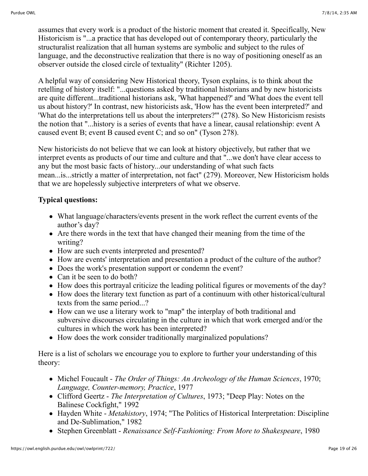assumes that every work is a product of the historic moment that created it. Specifically, New Historicism is "...a practice that has developed out of contemporary theory, particularly the structuralist realization that all human systems are symbolic and subject to the rules of language, and the deconstructive realization that there is no way of positioning oneself as an observer outside the closed circle of textuality" (Richter 1205).

A helpful way of considering New Historical theory, Tyson explains, is to think about the retelling of history itself: "...questions asked by traditional historians and by new historicists are quite different...traditional historians ask, 'What happened?' and 'What does the event tell us about history?' In contrast, new historicists ask, 'How has the event been interpreted?' and 'What do the interpretations tell us about the interpreters?'" (278). So New Historicism resists the notion that "...history is a series of events that have a linear, causal relationship: event A caused event B; event B caused event C; and so on" (Tyson 278).

New historicists do not believe that we can look at history objectively, but rather that we interpret events as products of our time and culture and that "...we don't have clear access to any but the most basic facts of history...our understanding of what such facts mean...is...strictly a matter of interpretation, not fact" (279). Moreover, New Historicism holds that we are hopelessly subjective interpreters of what we observe.

#### **Typical questions:**

- What language/characters/events present in the work reflect the current events of the author's day?
- Are there words in the text that have changed their meaning from the time of the writing?
- How are such events interpreted and presented?
- How are events' interpretation and presentation a product of the culture of the author?
- Does the work's presentation support or condemn the event?
- Can it be seen to do both?
- How does this portrayal criticize the leading political figures or movements of the day?
- How does the literary text function as part of a continuum with other historical/cultural texts from the same period...?
- How can we use a literary work to "map" the interplay of both traditional and subversive discourses circulating in the culture in which that work emerged and/or the cultures in which the work has been interpreted?
- How does the work consider traditionally marginalized populations?

Here is a list of scholars we encourage you to explore to further your understanding of this theory:

- Michel Foucault *The Order of Things: An Archeology of the Human Sciences*, 1970; *Language, Counter-memory, Practice*, 1977
- Clifford Geertz *The Interpretation of Cultures*, 1973; "Deep Play: Notes on the Balinese Cockfight," 1992
- Hayden White *Metahistory*, 1974; "The Politics of Historical Interpretation: Discipline and De-Sublimation," 1982
- Stephen Greenblatt *Renaissance Self-Fashioning: From More to Shakespeare*, 1980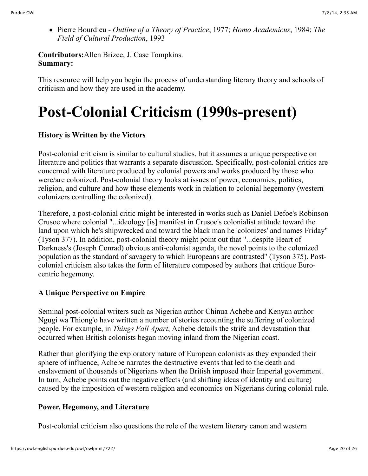Pierre Bourdieu - *Outline of a Theory of Practice*, 1977; *Homo Academicus*, 1984; *The Field of Cultural Production*, 1993

**Contributors:**Allen Brizee, J. Case Tompkins. **Summary:**

This resource will help you begin the process of understanding literary theory and schools of criticism and how they are used in the academy.

# **Post-Colonial Criticism (1990s-present)**

## **History is Written by the Victors**

Post-colonial criticism is similar to cultural studies, but it assumes a unique perspective on literature and politics that warrants a separate discussion. Specifically, post-colonial critics are concerned with literature produced by colonial powers and works produced by those who were/are colonized. Post-colonial theory looks at issues of power, economics, politics, religion, and culture and how these elements work in relation to colonial hegemony (western colonizers controlling the colonized).

Therefore, a post-colonial critic might be interested in works such as Daniel Defoe's Robinson Crusoe where colonial "...ideology [is] manifest in Crusoe's colonialist attitude toward the land upon which he's shipwrecked and toward the black man he 'colonizes' and names Friday" (Tyson 377). In addition, post-colonial theory might point out that "...despite Heart of Darkness's (Joseph Conrad) obvious anti-colonist agenda, the novel points to the colonized population as the standard of savagery to which Europeans are contrasted" (Tyson 375). Postcolonial criticism also takes the form of literature composed by authors that critique Eurocentric hegemony.

### **A Unique Perspective on Empire**

Seminal post-colonial writers such as Nigerian author Chinua Achebe and Kenyan author Ngugi wa Thiong'o have written a number of stories recounting the suffering of colonized people. For example, in *Things Fall Apart*, Achebe details the strife and devastation that occurred when British colonists began moving inland from the Nigerian coast.

Rather than glorifying the exploratory nature of European colonists as they expanded their sphere of influence, Achebe narrates the destructive events that led to the death and enslavement of thousands of Nigerians when the British imposed their Imperial government. In turn, Achebe points out the negative effects (and shifting ideas of identity and culture) caused by the imposition of western religion and economics on Nigerians during colonial rule.

### **Power, Hegemony, and Literature**

Post-colonial criticism also questions the role of the western literary canon and western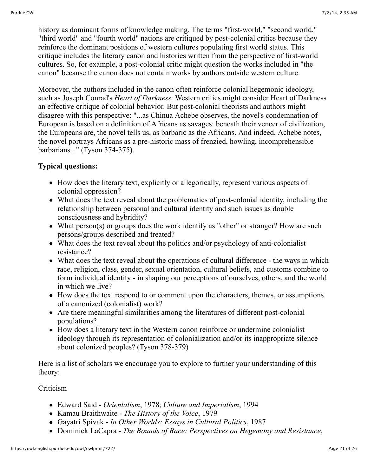history as dominant forms of knowledge making. The terms "first-world," "second world," "third world" and "fourth world" nations are critiqued by post-colonial critics because they reinforce the dominant positions of western cultures populating first world status. This critique includes the literary canon and histories written from the perspective of first-world cultures. So, for example, a post-colonial critic might question the works included in "the canon" because the canon does not contain works by authors outside western culture.

Moreover, the authors included in the canon often reinforce colonial hegemonic ideology, such as Joseph Conrad's *Heart of Darkness*. Western critics might consider Heart of Darkness an effective critique of colonial behavior. But post-colonial theorists and authors might disagree with this perspective: "...as Chinua Achebe observes, the novel's condemnation of European is based on a definition of Africans as savages: beneath their veneer of civilization, the Europeans are, the novel tells us, as barbaric as the Africans. And indeed, Achebe notes, the novel portrays Africans as a pre-historic mass of frenzied, howling, incomprehensible barbarians..." (Tyson 374-375).

### **Typical questions:**

- How does the literary text, explicitly or allegorically, represent various aspects of colonial oppression?
- What does the text reveal about the problematics of post-colonial identity, including the relationship between personal and cultural identity and such issues as double consciousness and hybridity?
- What person(s) or groups does the work identify as "other" or stranger? How are such persons/groups described and treated?
- What does the text reveal about the politics and/or psychology of anti-colonialist resistance?
- What does the text reveal about the operations of cultural difference the ways in which race, religion, class, gender, sexual orientation, cultural beliefs, and customs combine to form individual identity - in shaping our perceptions of ourselves, others, and the world in which we live?
- How does the text respond to or comment upon the characters, themes, or assumptions of a canonized (colonialist) work?
- Are there meaningful similarities among the literatures of different post-colonial populations?
- How does a literary text in the Western canon reinforce or undermine colonialist ideology through its representation of colonialization and/or its inappropriate silence about colonized peoples? (Tyson 378-379)

Here is a list of scholars we encourage you to explore to further your understanding of this theory:

#### Criticism

- Edward Said *Orientalism*, 1978; *Culture and Imperialism*, 1994
- Kamau Braithwaite *The History of the Voice*, 1979
- Gayatri Spivak *In Other Worlds: Essays in Cultural Politics*, 1987
- Dominick LaCapra *The Bounds of Race: Perspectives on Hegemony and Resistance*,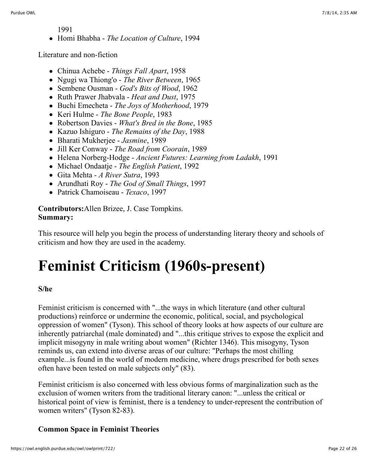1991

Homi Bhabha - *The Location of Culture*, 1994

Literature and non-fiction

- Chinua Achebe *Things Fall Apart*, 1958
- Ngugi wa Thiong'o *The River Between*, 1965
- Sembene Ousman *God's Bits of Wood*, 1962
- Ruth Prawer Jhabvala *Heat and Dust*, 1975
- Buchi Emecheta *The Joys of Motherhood*, 1979
- Keri Hulme *The Bone People*, 1983
- Robertson Davies *What's Bred in the Bone*, 1985
- Kazuo Ishiguro *The Remains of the Day*, 1988
- Bharati Mukherjee *Jasmine*, 1989
- Jill Ker Conway *The Road from Coorain*, 1989
- Helena Norberg-Hodge *Ancient Futures: Learning from Ladakh*, 1991
- Michael Ondaatje *The English Patient*, 1992
- Gita Mehta *A River Sutra*, 1993
- Arundhati Roy *The God of Small Things*, 1997
- Patrick Chamoiseau *Texaco*, 1997

**Contributors:**Allen Brizee, J. Case Tompkins. **Summary:**

This resource will help you begin the process of understanding literary theory and schools of criticism and how they are used in the academy.

# **Feminist Criticism (1960s-present)**

#### **S/he**

Feminist criticism is concerned with "...the ways in which literature (and other cultural productions) reinforce or undermine the economic, political, social, and psychological oppression of women" (Tyson). This school of theory looks at how aspects of our culture are inherently patriarchal (male dominated) and "...this critique strives to expose the explicit and implicit misogyny in male writing about women" (Richter 1346). This misogyny, Tyson reminds us, can extend into diverse areas of our culture: "Perhaps the most chilling example...is found in the world of modern medicine, where drugs prescribed for both sexes often have been tested on male subjects only" (83).

Feminist criticism is also concerned with less obvious forms of marginalization such as the exclusion of women writers from the traditional literary canon: "...unless the critical or historical point of view is feminist, there is a tendency to under-represent the contribution of women writers" (Tyson 82-83).

#### **Common Space in Feminist Theories**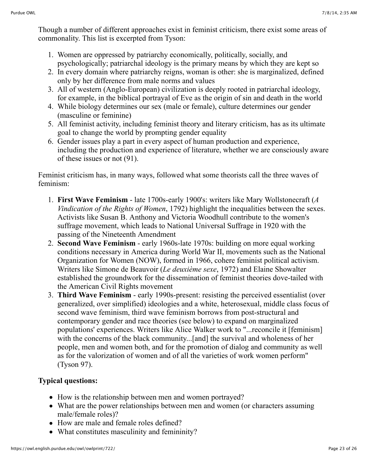Though a number of different approaches exist in feminist criticism, there exist some areas of commonality. This list is excerpted from Tyson:

- 1. Women are oppressed by patriarchy economically, politically, socially, and psychologically; patriarchal ideology is the primary means by which they are kept so
- 2. In every domain where patriarchy reigns, woman is other: she is marginalized, defined only by her difference from male norms and values
- 3. All of western (Anglo-European) civilization is deeply rooted in patriarchal ideology, for example, in the biblical portrayal of Eve as the origin of sin and death in the world
- 4. While biology determines our sex (male or female), culture determines our gender (masculine or feminine)
- 5. All feminist activity, including feminist theory and literary criticism, has as its ultimate goal to change the world by prompting gender equality
- 6. Gender issues play a part in every aspect of human production and experience, including the production and experience of literature, whether we are consciously aware of these issues or not (91).

Feminist criticism has, in many ways, followed what some theorists call the three waves of feminism:

- 1. **First Wave Feminism** late 1700s-early 1900's: writers like Mary Wollstonecraft (*A Vindication of the Rights of Women*, 1792) highlight the inequalities between the sexes. Activists like Susan B. Anthony and Victoria Woodhull contribute to the women's suffrage movement, which leads to National Universal Suffrage in 1920 with the passing of the Nineteenth Amendment
- 2. **Second Wave Feminism** early 1960s-late 1970s: building on more equal working conditions necessary in America during World War II, movements such as the National Organization for Women (NOW), formed in 1966, cohere feminist political activism. Writers like Simone de Beauvoir (*Le deuxième sexe*, 1972) and Elaine Showalter established the groundwork for the dissemination of feminist theories dove-tailed with the American Civil Rights movement
- 3. **Third Wave Feminism** early 1990s-present: resisting the perceived essentialist (over generalized, over simplified) ideologies and a white, heterosexual, middle class focus of second wave feminism, third wave feminism borrows from post-structural and contemporary gender and race theories (see below) to expand on marginalized populations' experiences. Writers like Alice Walker work to "...reconcile it [feminism] with the concerns of the black community...[and] the survival and wholeness of her people, men and women both, and for the promotion of dialog and community as well as for the valorization of women and of all the varieties of work women perform" (Tyson 97).

## **Typical questions:**

- How is the relationship between men and women portrayed?
- What are the power relationships between men and women (or characters assuming male/female roles)?
- How are male and female roles defined?
- What constitutes masculinity and femininity?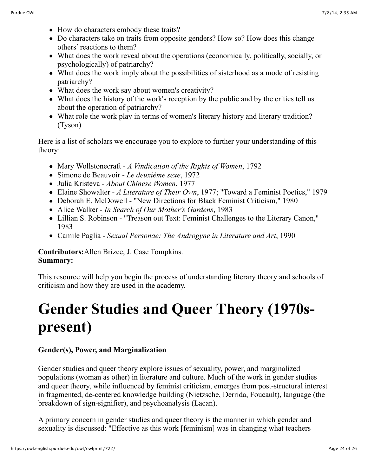- How do characters embody these traits?
- Do characters take on traits from opposite genders? How so? How does this change others' reactions to them?
- What does the work reveal about the operations (economically, politically, socially, or psychologically) of patriarchy?
- What does the work imply about the possibilities of sisterhood as a mode of resisting patriarchy?
- What does the work say about women's creativity?
- What does the history of the work's reception by the public and by the critics tell us about the operation of patriarchy?
- What role the work play in terms of women's literary history and literary tradition? (Tyson)

Here is a list of scholars we encourage you to explore to further your understanding of this theory:

- Mary Wollstonecraft *A Vindication of the Rights of Women*, 1792
- Simone de Beauvoir *Le deuxième sexe*, 1972
- Julia Kristeva *About Chinese Women*, 1977
- Elaine Showalter *A Literature of Their Own*, 1977; "Toward a Feminist Poetics," 1979
- Deborah E. McDowell "New Directions for Black Feminist Criticism," 1980
- Alice Walker *In Search of Our Mother's Gardens*, 1983
- Lillian S. Robinson "Treason out Text: Feminist Challenges to the Literary Canon," 1983
- Camile Paglia *Sexual Personae: The Androgyne in Literature and Art*, 1990

**Contributors:**Allen Brizee, J. Case Tompkins. **Summary:**

This resource will help you begin the process of understanding literary theory and schools of criticism and how they are used in the academy.

# **Gender Studies and Queer Theory (1970spresent)**

### **Gender(s), Power, and Marginalization**

Gender studies and queer theory explore issues of sexuality, power, and marginalized populations (woman as other) in literature and culture. Much of the work in gender studies and queer theory, while influenced by feminist criticism, emerges from post-structural interest in fragmented, de-centered knowledge building (Nietzsche, Derrida, Foucault), language (the breakdown of sign-signifier), and psychoanalysis (Lacan).

A primary concern in gender studies and queer theory is the manner in which gender and sexuality is discussed: "Effective as this work [feminism] was in changing what teachers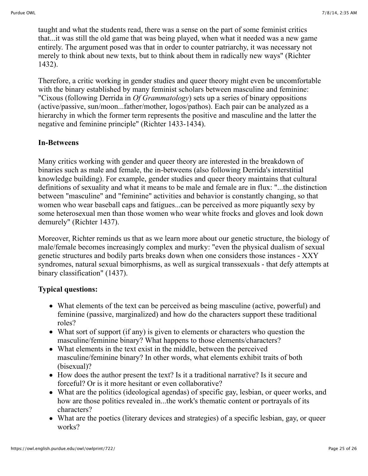taught and what the students read, there was a sense on the part of some feminist critics that...it was still the old game that was being played, when what it needed was a new game entirely. The argument posed was that in order to counter patriarchy, it was necessary not merely to think about new texts, but to think about them in radically new ways" (Richter 1432).

Therefore, a critic working in gender studies and queer theory might even be uncomfortable with the binary established by many feminist scholars between masculine and feminine: "Cixous (following Derrida in *Of Grammatology*) sets up a series of binary oppositions (active/passive, sun/moon...father/mother, logos/pathos). Each pair can be analyzed as a hierarchy in which the former term represents the positive and masculine and the latter the negative and feminine principle" (Richter 1433-1434).

#### **In-Betweens**

Many critics working with gender and queer theory are interested in the breakdown of binaries such as male and female, the in-betweens (also following Derrida's interstitial knowledge building). For example, gender studies and queer theory maintains that cultural definitions of sexuality and what it means to be male and female are in flux: "...the distinction between "masculine" and "feminine" activities and behavior is constantly changing, so that women who wear baseball caps and fatigues...can be perceived as more piquantly sexy by some heterosexual men than those women who wear white frocks and gloves and look down demurely" (Richter 1437).

Moreover, Richter reminds us that as we learn more about our genetic structure, the biology of male/female becomes increasingly complex and murky: "even the physical dualism of sexual genetic structures and bodily parts breaks down when one considers those instances - XXY syndromes, natural sexual bimorphisms, as well as surgical transsexuals - that defy attempts at binary classification" (1437).

#### **Typical questions:**

- What elements of the text can be perceived as being masculine (active, powerful) and feminine (passive, marginalized) and how do the characters support these traditional roles?
- What sort of support (if any) is given to elements or characters who question the masculine/feminine binary? What happens to those elements/characters?
- What elements in the text exist in the middle, between the perceived masculine/feminine binary? In other words, what elements exhibit traits of both (bisexual)?
- How does the author present the text? Is it a traditional narrative? Is it secure and forceful? Or is it more hesitant or even collaborative?
- What are the politics (ideological agendas) of specific gay, lesbian, or queer works, and how are those politics revealed in...the work's thematic content or portrayals of its characters?
- What are the poetics (literary devices and strategies) of a specific lesbian, gay, or queer works?